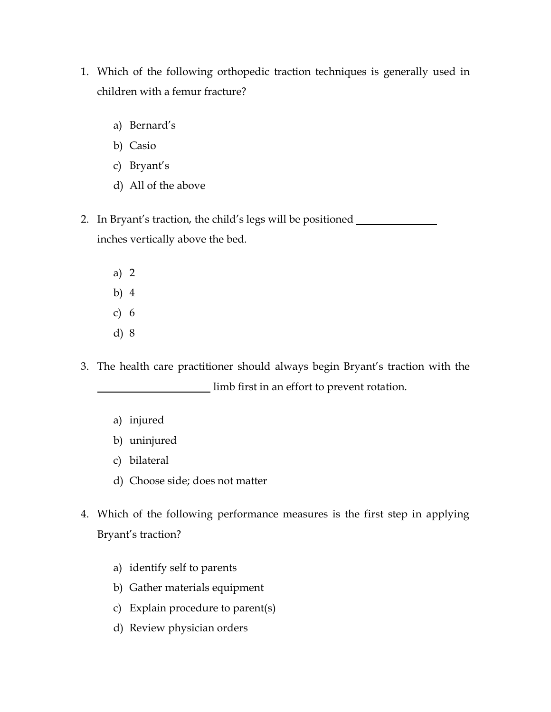- 1. Which of the following orthopedic traction techniques is generally used in children with a femur fracture?
	- a) Bernard's
	- b) Casio
	- c) Bryant's
	- d) All of the above
- 2. In Bryant's traction, the child's legs will be positioned inches vertically above the bed.
	- a) 2 b) 4 c) 6 d) 8
- 3. The health care practitioner should always begin Bryant's traction with the limb first in an effort to prevent rotation.
	- a) injured
	- b) uninjured
	- c) bilateral
	- d) Choose side; does not matter
- 4. Which of the following performance measures is the first step in applying Bryant's traction?
	- a) identify self to parents
	- b) Gather materials equipment
	- c) Explain procedure to parent(s)
	- d) Review physician orders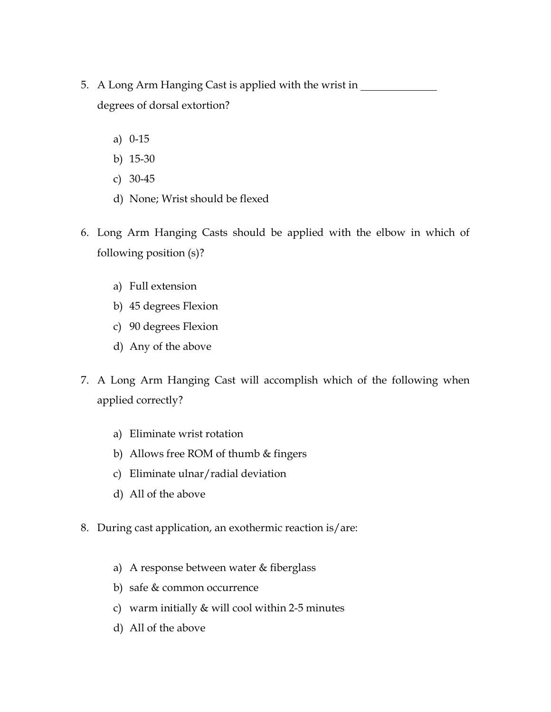- 5. A Long Arm Hanging Cast is applied with the wrist in degrees of dorsal extortion?
	- a) 0-15
	- b) 15-30
	- c) 30-45
	- d) None; Wrist should be flexed
- 6. Long Arm Hanging Casts should be applied with the elbow in which of following position (s)?
	- a) Full extension
	- b) 45 degrees Flexion
	- c) 90 degrees Flexion
	- d) Any of the above
- 7. A Long Arm Hanging Cast will accomplish which of the following when applied correctly?
	- a) Eliminate wrist rotation
	- b) Allows free ROM of thumb & fingers
	- c) Eliminate ulnar/radial deviation
	- d) All of the above
- 8. During cast application, an exothermic reaction is/are:
	- a) A response between water & fiberglass
	- b) safe & common occurrence
	- c) warm initially & will cool within 2-5 minutes
	- d) All of the above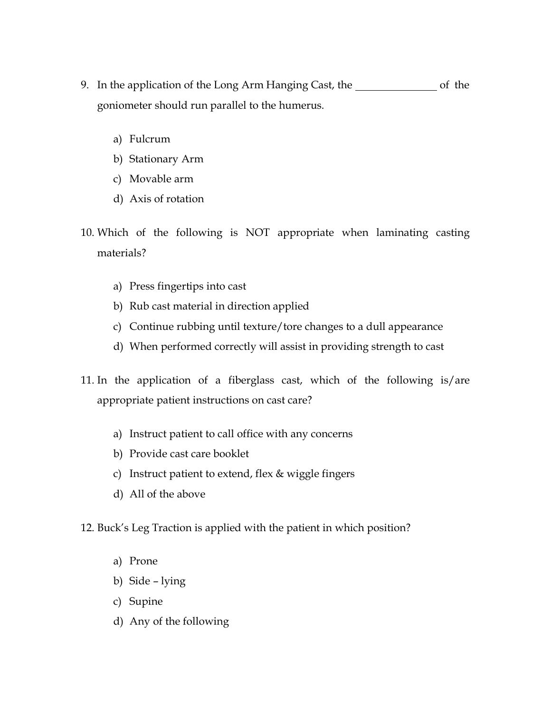- 9. In the application of the Long Arm Hanging Cast, the **constant of the set of the** goniometer should run parallel to the humerus.
	- a) Fulcrum
	- b) Stationary Arm
	- c) Movable arm
	- d) Axis of rotation
- 10. Which of the following is NOT appropriate when laminating casting materials?
	- a) Press fingertips into cast
	- b) Rub cast material in direction applied
	- c) Continue rubbing until texture/tore changes to a dull appearance
	- d) When performed correctly will assist in providing strength to cast
- 11. In the application of a fiberglass cast, which of the following is/are appropriate patient instructions on cast care?
	- a) Instruct patient to call office with any concerns
	- b) Provide cast care booklet
	- c) Instruct patient to extend, flex & wiggle fingers
	- d) All of the above
- 12. Buck's Leg Traction is applied with the patient in which position?
	- a) Prone
	- b) Side lying
	- c) Supine
	- d) Any of the following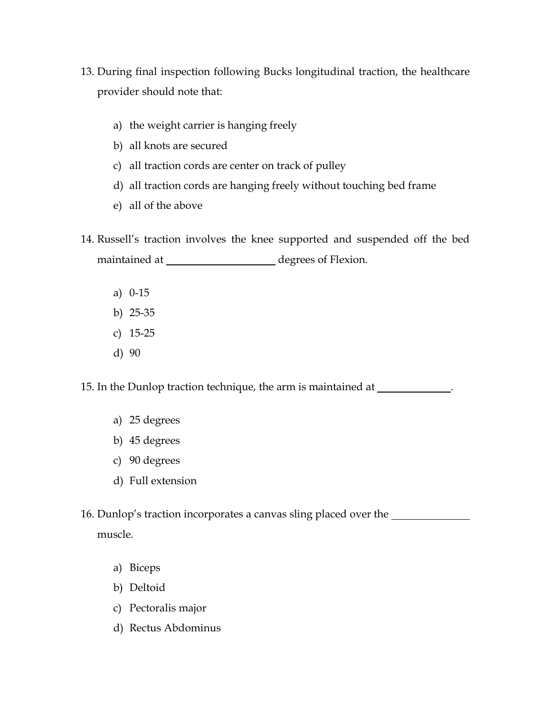- 13. During final inspection following Bucks longitudinal traction, the healthcare provider should note that:
	- a) the weight carrier is hanging freely
	- b) all knots are secured
	- c) all traction cords are center on track of pulley
	- d) all traction cords are hanging freely without touching bed frame
	- e) all of the above
- 14. Russell's traction involves the knee supported and suspended off the bed maintained at degrees of Flexion.
	- a) 0-15
	- b) 25-35
	- c) 15-25
	- d) 90

15. In the Dunlop traction technique, the arm is maintained at .

- a) 25 degrees
- b) 45 degrees
- c) 90 degrees
- d) Full extension
- 16. Dunlop's traction incorporates a canvas sling placed over the muscle.
	- a) Biceps
	- b) Deltoid
	- c) Pectoralis major
	- d) Rectus Abdominus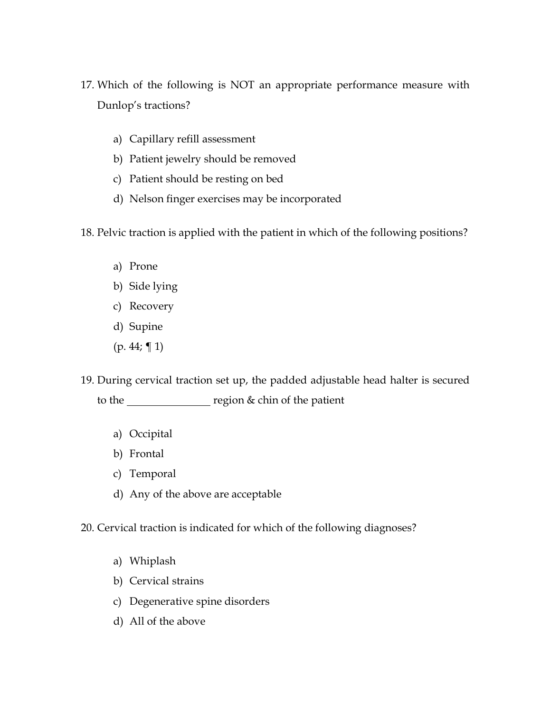- 17. Which of the following is NOT an appropriate performance measure with Dunlop's tractions?
	- a) Capillary refill assessment
	- b) Patient jewelry should be removed
	- c) Patient should be resting on bed
	- d) Nelson finger exercises may be incorporated
- 18. Pelvic traction is applied with the patient in which of the following positions?
	- a) Prone
	- b) Side lying
	- c) Recovery
	- d) Supine
	- $(p. 44; \P 1)$
- 19. During cervical traction set up, the padded adjustable head halter is secured to the <u>region</u> segion & chin of the patient
	- a) Occipital
	- b) Frontal
	- c) Temporal
	- d) Any of the above are acceptable
- 20. Cervical traction is indicated for which of the following diagnoses?
	- a) Whiplash
	- b) Cervical strains
	- c) Degenerative spine disorders
	- d) All of the above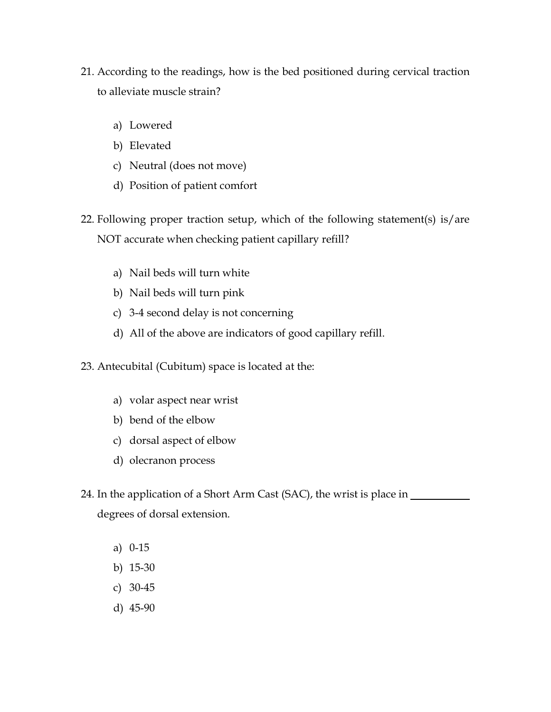- 21. According to the readings, how is the bed positioned during cervical traction to alleviate muscle strain?
	- a) Lowered
	- b) Elevated
	- c) Neutral (does not move)
	- d) Position of patient comfort
- 22. Following proper traction setup, which of the following statement(s) is/are NOT accurate when checking patient capillary refill?
	- a) Nail beds will turn white
	- b) Nail beds will turn pink
	- c) 3-4 second delay is not concerning
	- d) All of the above are indicators of good capillary refill.
- 23. Antecubital (Cubitum) space is located at the:
	- a) volar aspect near wrist
	- b) bend of the elbow
	- c) dorsal aspect of elbow
	- d) olecranon process
- 24. In the application of a Short Arm Cast (SAC), the wrist is place in degrees of dorsal extension.
	- a) 0-15
	- b) 15-30
	- c) 30-45
	- d) 45-90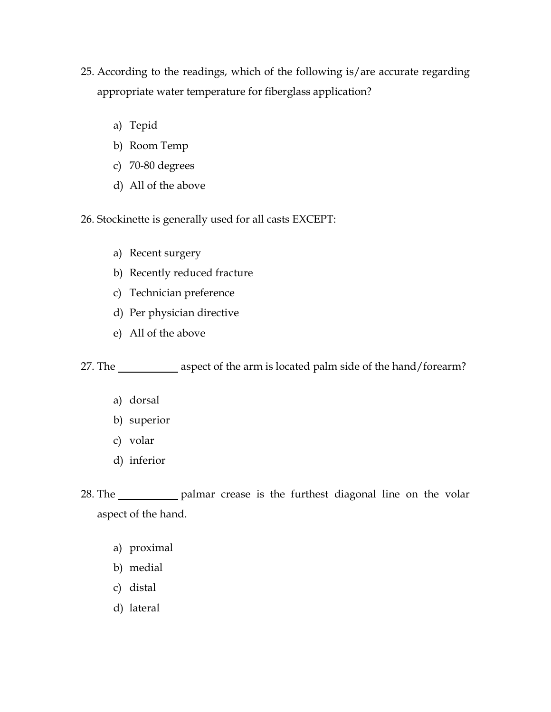- 25. According to the readings, which of the following is/are accurate regarding appropriate water temperature for fiberglass application?
	- a) Tepid
	- b) Room Temp
	- c) 70-80 degrees
	- d) All of the above

26. Stockinette is generally used for all casts EXCEPT:

- a) Recent surgery
- b) Recently reduced fracture
- c) Technician preference
- d) Per physician directive
- e) All of the above

27. The aspect of the arm is located palm side of the hand/forearm?

- a) dorsal
- b) superior
- c) volar
- d) inferior
- 28. The palmar crease is the furthest diagonal line on the volar aspect of the hand.
	- a) proximal
	- b) medial
	- c) distal
	- d) lateral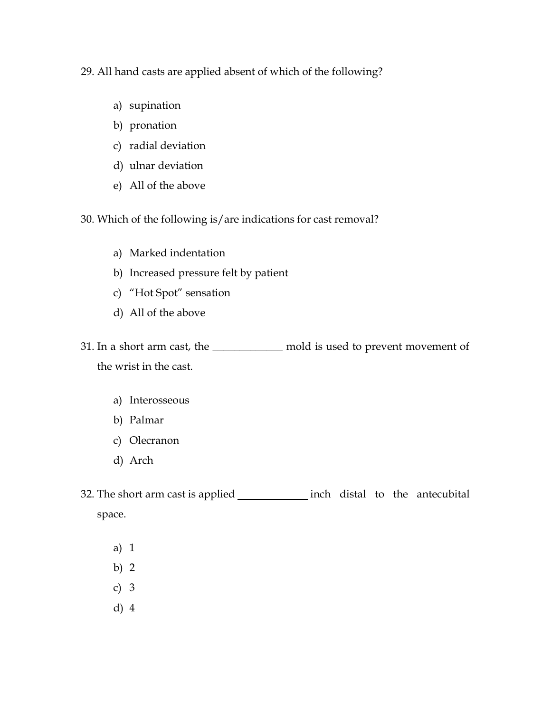29. All hand casts are applied absent of which of the following?

- a) supination
- b) pronation
- c) radial deviation
- d) ulnar deviation
- e) All of the above

30. Which of the following is/are indications for cast removal?

- a) Marked indentation
- b) Increased pressure felt by patient
- c) "Hot Spot" sensation
- d) All of the above

31. In a short arm cast, the \_\_\_\_\_\_\_\_\_\_\_\_\_ mold is used to prevent movement of the wrist in the cast.

- a) Interosseous
- b) Palmar
- c) Olecranon
- d) Arch
- 32. The short arm cast is applied \_\_\_\_\_\_\_\_\_\_\_\_\_\_ inch distal to the antecubital space.
	- a) 1
	- b) 2
	- c) 3
	- d) 4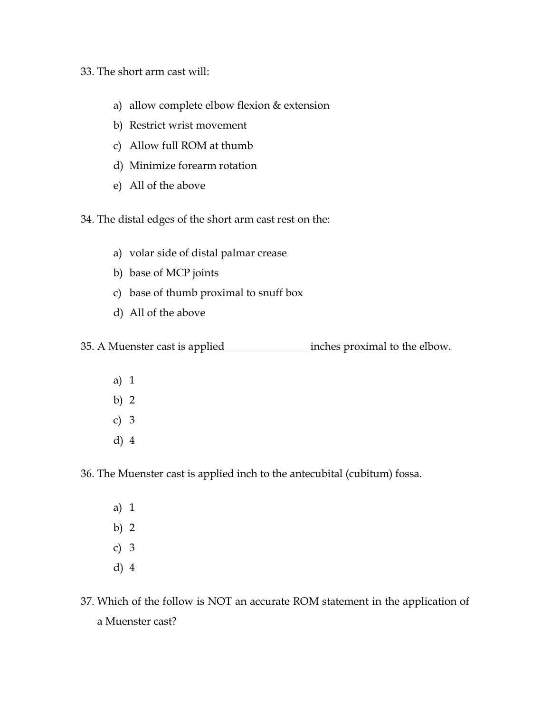- 33. The short arm cast will:
	- a) allow complete elbow flexion & extension
	- b) Restrict wrist movement
	- c) Allow full ROM at thumb
	- d) Minimize forearm rotation
	- e) All of the above

34. The distal edges of the short arm cast rest on the:

- a) volar side of distal palmar crease
- b) base of MCP joints
- c) base of thumb proximal to snuff box
- d) All of the above

35. A Muenster cast is applied inches proximal to the elbow.

- a) 1 b) 2 c) 3
- d) 4

36. The Muenster cast is applied inch to the antecubital (cubitum) fossa.

- a) 1 b) 2 c) 3 d) 4
- 37. Which of the follow is NOT an accurate ROM statement in the application of a Muenster cast?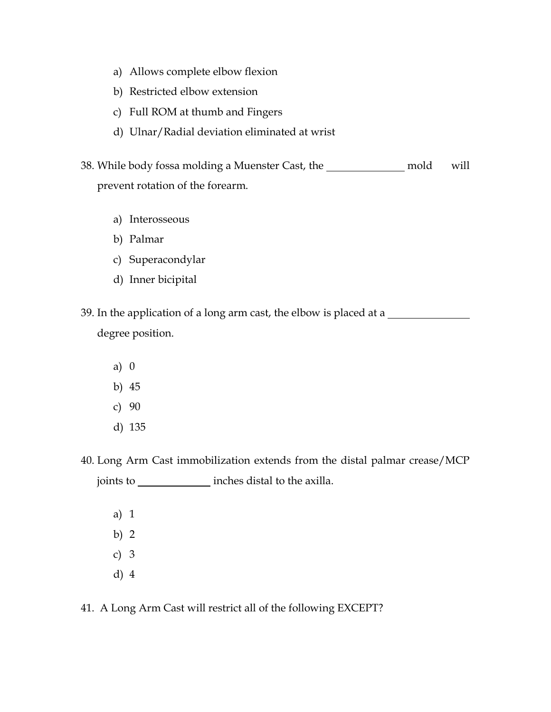- a) Allows complete elbow flexion
- b) Restricted elbow extension
- c) Full ROM at thumb and Fingers
- d) Ulnar/Radial deviation eliminated at wrist
- 38. While body fossa molding a Muenster Cast, the \_\_\_\_\_\_\_\_\_\_\_\_\_\_\_ mold will prevent rotation of the forearm.
	- a) Interosseous
	- b) Palmar
	- c) Superacondylar
	- d) Inner bicipital
- 39. In the application of a long arm cast, the elbow is placed at a degree position.
	- a) 0 b) 45 c) 90 d) 135
- 40. Long Arm Cast immobilization extends from the distal palmar crease/MCP joints to \_\_\_\_\_\_\_\_\_\_\_\_\_\_\_ inches distal to the axilla.
	- a) 1 b) 2 c) 3 d) 4
- 41. A Long Arm Cast will restrict all of the following EXCEPT?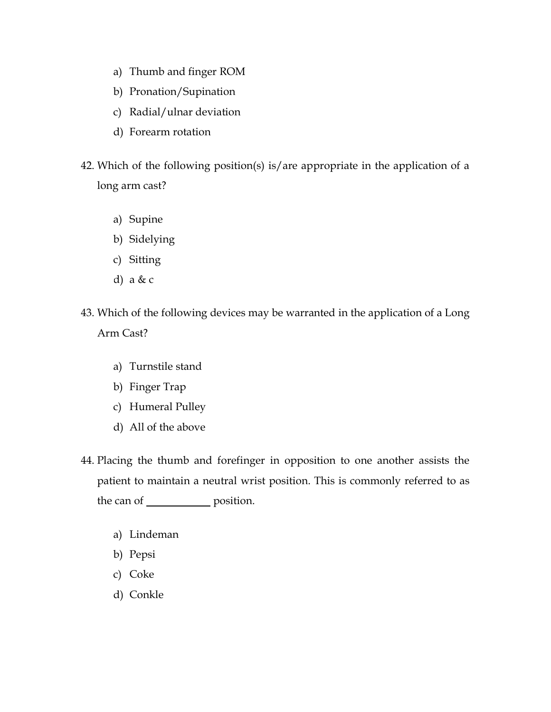- a) Thumb and finger ROM
- b) Pronation/Supination
- c) Radial/ulnar deviation
- d) Forearm rotation
- 42. Which of the following position(s) is/are appropriate in the application of a long arm cast?
	- a) Supine
	- b) Sidelying
	- c) Sitting
	- d) a & c
- 43. Which of the following devices may be warranted in the application of a Long Arm Cast?
	- a) Turnstile stand
	- b) Finger Trap
	- c) Humeral Pulley
	- d) All of the above
- 44. Placing the thumb and forefinger in opposition to one another assists the patient to maintain a neutral wrist position. This is commonly referred to as the can of \_\_\_\_\_\_\_\_\_\_\_\_\_\_ position.
	- a) Lindeman
	- b) Pepsi
	- c) Coke
	- d) Conkle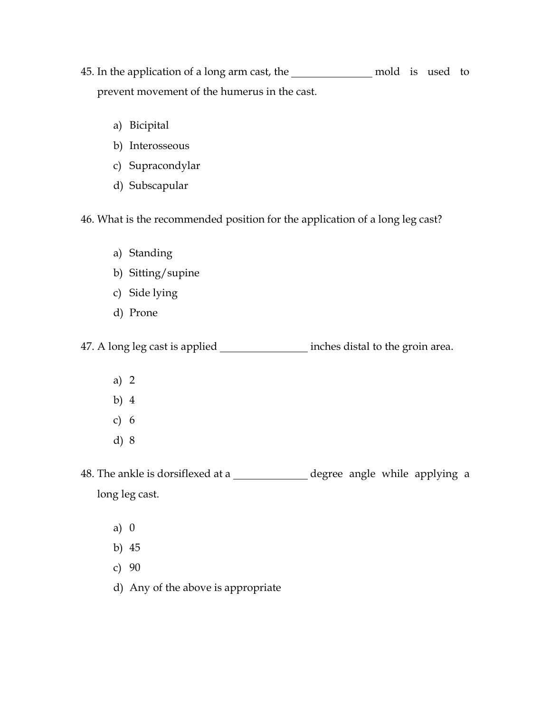- 45. In the application of a long arm cast, the \_\_\_\_\_\_\_\_\_\_\_\_\_\_\_\_\_ mold is used to prevent movement of the humerus in the cast.
	- a) Bicipital
	- b) Interosseous
	- c) Supracondylar
	- d) Subscapular

46. What is the recommended position for the application of a long leg cast?

- a) Standing
- b) Sitting/supine
- c) Side lying
- d) Prone

47. A long leg cast is applied inches distal to the groin area.

- a) 2
- b) 4
- c) 6
- d) 8

48. The ankle is dorsiflexed at a \_\_\_\_\_\_\_\_\_\_\_\_\_\_\_\_\_\_\_\_ degree angle while applying a long leg cast.

- a) 0
- b) 45
- c) 90
- d) Any of the above is appropriate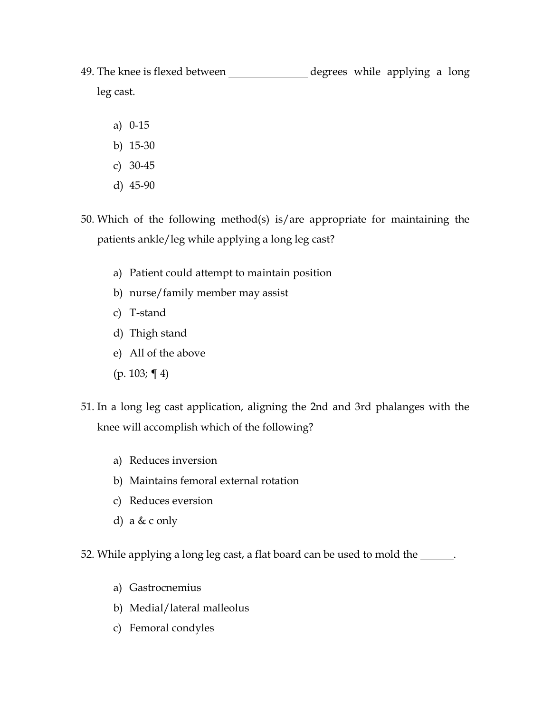- 49. The knee is flexed between \_\_\_\_\_\_\_\_\_\_\_\_\_\_\_ degrees while applying a long leg cast.
	- a) 0-15
	- b) 15-30
	- c) 30-45
	- d) 45-90
- 50. Which of the following method(s) is/are appropriate for maintaining the patients ankle/leg while applying a long leg cast?
	- a) Patient could attempt to maintain position
	- b) nurse/family member may assist
	- c) T-stand
	- d) Thigh stand
	- e) All of the above
	- (p. 103; ¶ 4)
- 51. In a long leg cast application, aligning the 2nd and 3rd phalanges with the knee will accomplish which of the following?
	- a) Reduces inversion
	- b) Maintains femoral external rotation
	- c) Reduces eversion
	- d) a  $& c$  only
- 52. While applying a long leg cast, a flat board can be used to mold the \_\_\_\_\_\_.
	- a) Gastrocnemius
	- b) Medial/lateral malleolus
	- c) Femoral condyles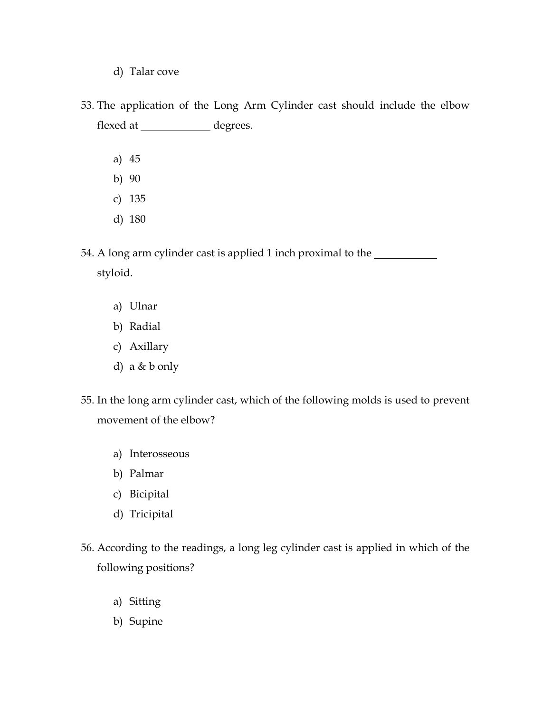- d) Talar cove
- 53. The application of the Long Arm Cylinder cast should include the elbow flexed at \_\_\_\_\_\_\_\_\_\_\_\_\_\_ degrees.
	- a) 45
	- b) 90
	- c) 135
	- d) 180

54. A long arm cylinder cast is applied 1 inch proximal to the styloid.

- a) Ulnar
- b) Radial
- c) Axillary
- d) a & b only
- 55. In the long arm cylinder cast, which of the following molds is used to prevent movement of the elbow?
	- a) Interosseous
	- b) Palmar
	- c) Bicipital
	- d) Tricipital
- 56. According to the readings, a long leg cylinder cast is applied in which of the following positions?
	- a) Sitting
	- b) Supine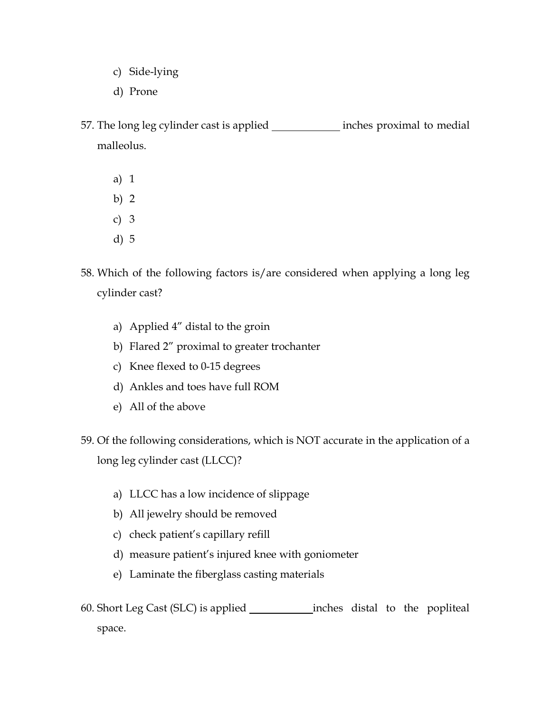- c) Side-lying
- d) Prone
- 57. The long leg cylinder cast is applied inches proximal to medial malleolus.
	- a) 1
	- b) 2
	- c) 3
	- d) 5
- 58. Which of the following factors is/are considered when applying a long leg cylinder cast?
	- a) Applied 4" distal to the groin
	- b) Flared 2" proximal to greater trochanter
	- c) Knee flexed to 0-15 degrees
	- d) Ankles and toes have full ROM
	- e) All of the above
- 59. Of the following considerations, which is NOT accurate in the application of a long leg cylinder cast (LLCC)?
	- a) LLCC has a low incidence of slippage
	- b) All jewelry should be removed
	- c) check patient's capillary refill
	- d) measure patient's injured knee with goniometer
	- e) Laminate the fiberglass casting materials
- 60. Short Leg Cast (SLC) is applied inches distal to the popliteal space.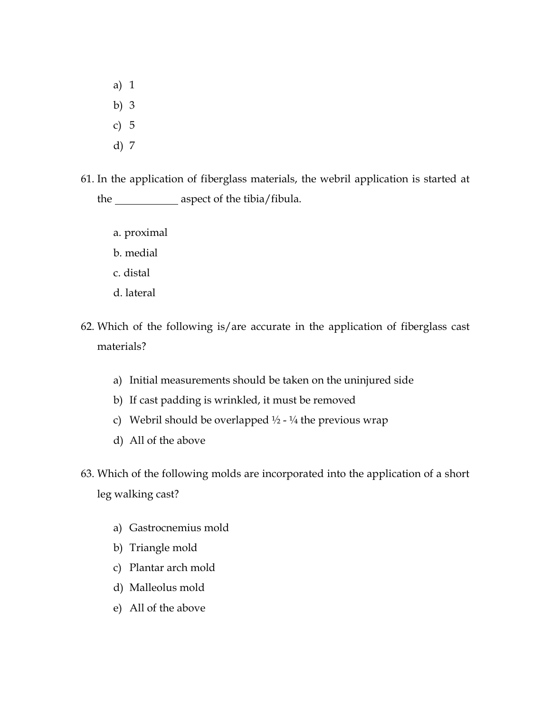a) 1 b) 3 c) 5 d) 7

- 61. In the application of fiberglass materials, the webril application is started at the \_\_\_\_\_\_\_\_\_\_\_\_\_ aspect of the tibia/fibula.
	- a. proximal
	- b. medial
	- c. distal
	- d. lateral
- 62. Which of the following is/are accurate in the application of fiberglass cast materials?
	- a) Initial measurements should be taken on the uninjured side
	- b) If cast padding is wrinkled, it must be removed
	- c) Webril should be overlapped  $\frac{1}{2}$   $\frac{1}{4}$  the previous wrap
	- d) All of the above
- 63. Which of the following molds are incorporated into the application of a short leg walking cast?
	- a) Gastrocnemius mold
	- b) Triangle mold
	- c) Plantar arch mold
	- d) Malleolus mold
	- e) All of the above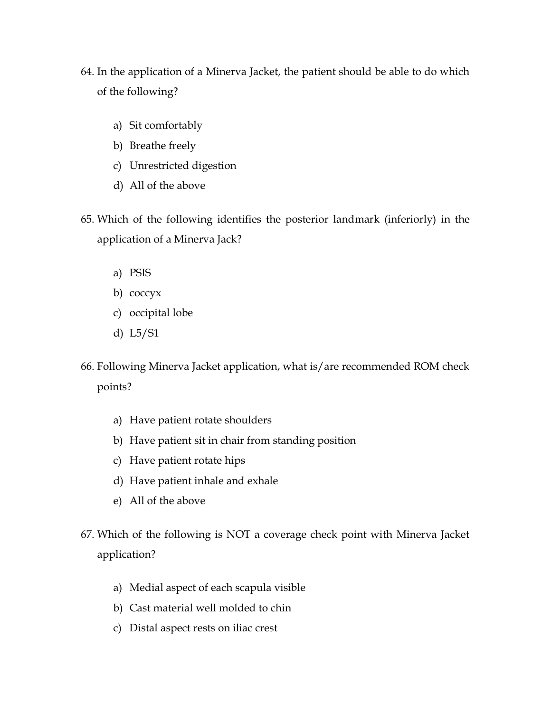- 64. In the application of a Minerva Jacket, the patient should be able to do which of the following?
	- a) Sit comfortably
	- b) Breathe freely
	- c) Unrestricted digestion
	- d) All of the above
- 65. Which of the following identifies the posterior landmark (inferiorly) in the application of a Minerva Jack?
	- a) PSIS
	- b) coccyx
	- c) occipital lobe
	- d) L5/S1
- 66. Following Minerva Jacket application, what is/are recommended ROM check points?
	- a) Have patient rotate shoulders
	- b) Have patient sit in chair from standing position
	- c) Have patient rotate hips
	- d) Have patient inhale and exhale
	- e) All of the above
- 67. Which of the following is NOT a coverage check point with Minerva Jacket application?
	- a) Medial aspect of each scapula visible
	- b) Cast material well molded to chin
	- c) Distal aspect rests on iliac crest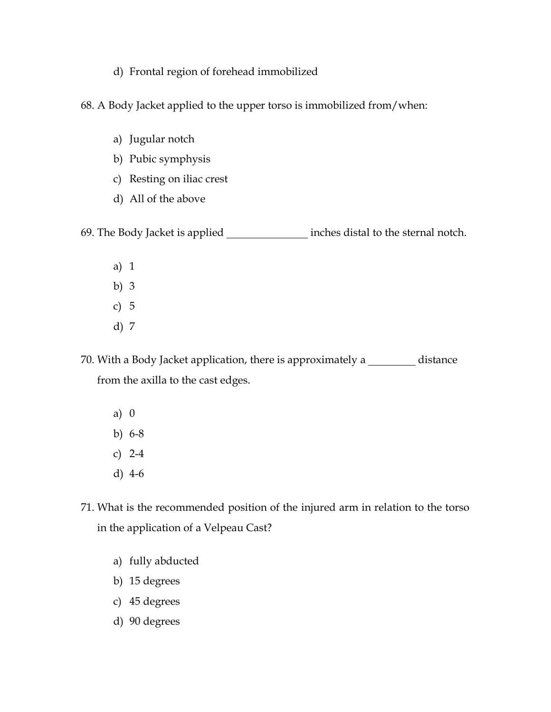- d) Frontal region of forehead immobilized
- 68. A Body Jacket applied to the upper torso is immobilized from/when:
	- a) Jugular notch
	- b) Pubic symphysis
	- c) Resting on iliac crest
	- d) All of the above

69. The Body Jacket is applied inches distal to the sternal notch.

- a) 1 b) 3 c) 5
- 
- d) 7

70. With a Body Jacket application, there is approximately a \_\_\_\_\_\_\_\_\_\_ distance from the axilla to the cast edges.

- a) 0 b) 6-8 c) 2-4 d) 4-6
- 71. What is the recommended position of the injured arm in relation to the torso in the application of a Velpeau Cast?
	- a) fully abducted
	- b) 15 degrees
	- c) 45 degrees
	- d) 90 degrees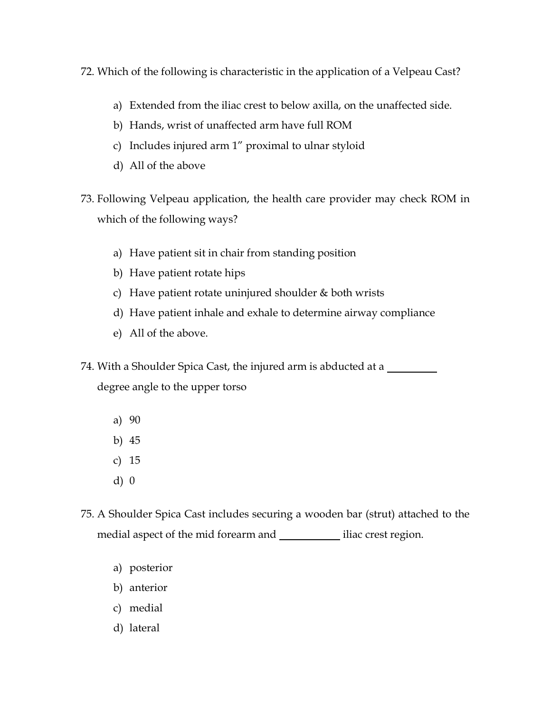- 72. Which of the following is characteristic in the application of a Velpeau Cast?
	- a) Extended from the iliac crest to below axilla, on the unaffected side.
	- b) Hands, wrist of unaffected arm have full ROM
	- c) Includes injured arm 1" proximal to ulnar styloid
	- d) All of the above
- 73. Following Velpeau application, the health care provider may check ROM in which of the following ways?
	- a) Have patient sit in chair from standing position
	- b) Have patient rotate hips
	- c) Have patient rotate uninjured shoulder  $&$  both wrists
	- d) Have patient inhale and exhale to determine airway compliance
	- e) All of the above.
- 74. With a Shoulder Spica Cast, the injured arm is abducted at a

degree angle to the upper torso

- a) 90
- b) 45
- c) 15
- d) 0
- 75. A Shoulder Spica Cast includes securing a wooden bar (strut) attached to the medial aspect of the mid forearm and iliac crest region.
	- a) posterior
	- b) anterior
	- c) medial
	- d) lateral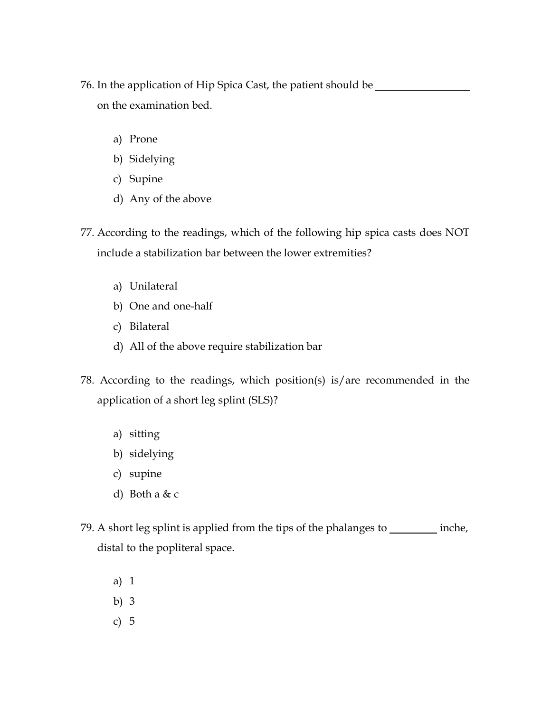76. In the application of Hip Spica Cast, the patient should be on the examination bed.

- a) Prone
- b) Sidelying
- c) Supine
- d) Any of the above
- 77. According to the readings, which of the following hip spica casts does NOT include a stabilization bar between the lower extremities?
	- a) Unilateral
	- b) One and one-half
	- c) Bilateral
	- d) All of the above require stabilization bar
- 78. According to the readings, which position(s) is/are recommended in the application of a short leg splint (SLS)?
	- a) sitting
	- b) sidelying
	- c) supine
	- d) Both a & c
- 79. A short leg splint is applied from the tips of the phalanges to \_\_\_\_\_\_\_\_\_ inche, distal to the popliteral space.
	- a) 1
	- b) 3
	- c) 5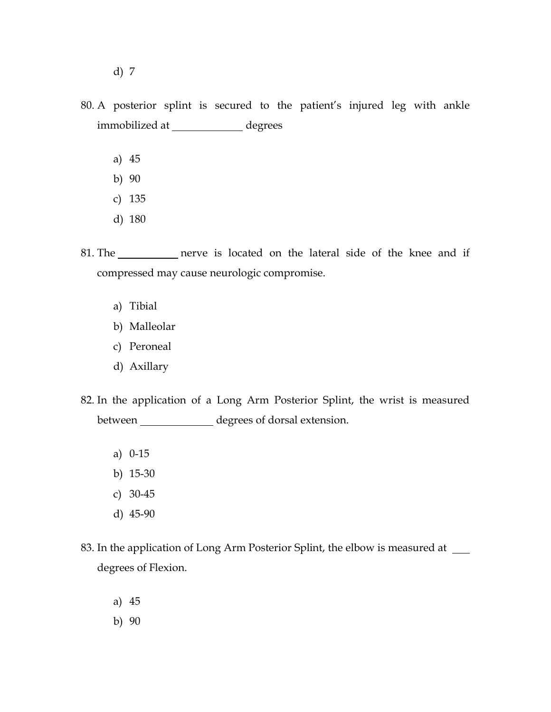- d) 7
- 80. A posterior splint is secured to the patient's injured leg with ankle immobilized at \_\_\_\_\_\_\_\_\_\_\_\_\_ degrees
	- a) 45
	- b) 90
	- c) 135
	- d) 180
- 81. The nerve is located on the lateral side of the knee and if compressed may cause neurologic compromise.
	- a) Tibial
	- b) Malleolar
	- c) Peroneal
	- d) Axillary
- 82. In the application of a Long Arm Posterior Splint, the wrist is measured between degrees of dorsal extension.
	- a) 0-15
	- b) 15-30
	- c) 30-45
	- d) 45-90
- 83. In the application of Long Arm Posterior Splint, the elbow is measured at degrees of Flexion.
	- a) 45
	- b) 90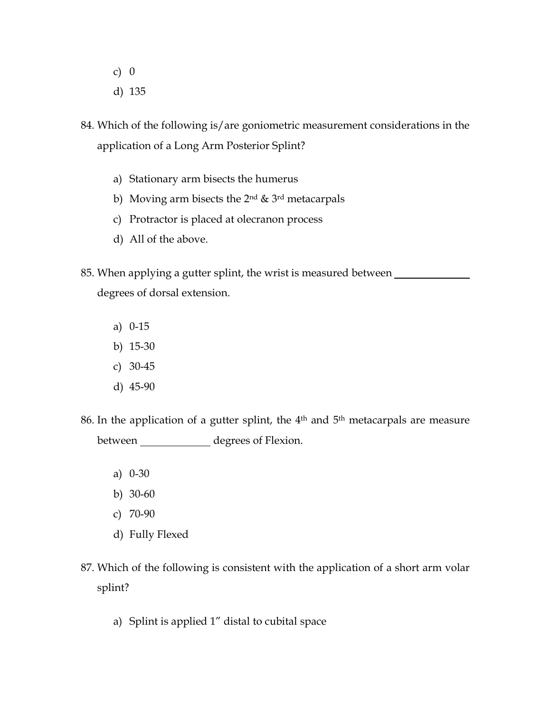- c) 0
- d) 135
- 84. Which of the following is/are goniometric measurement considerations in the application of a Long Arm Posterior Splint?
	- a) Stationary arm bisects the humerus
	- b) Moving arm bisects the 2nd & 3rd metacarpals
	- c) Protractor is placed at olecranon process
	- d) All of the above.
- 85. When applying a gutter splint, the wrist is measured between degrees of dorsal extension.
	- a) 0-15
	- b) 15-30
	- c) 30-45
	- d) 45-90
- 86. In the application of a gutter splint, the 4<sup>th</sup> and 5<sup>th</sup> metacarpals are measure between \_\_\_\_\_\_\_\_\_\_\_\_\_\_ degrees of Flexion.
	- a) 0-30
	- b) 30-60
	- c) 70-90
	- d) Fully Flexed
- 87. Which of the following is consistent with the application of a short arm volar splint?
	- a) Splint is applied 1" distal to cubital space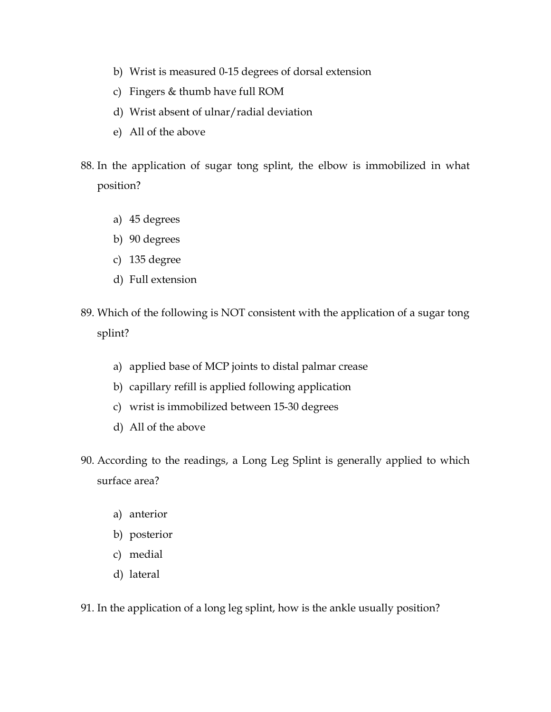- b) Wrist is measured 0-15 degrees of dorsal extension
- c) Fingers & thumb have full ROM
- d) Wrist absent of ulnar/radial deviation
- e) All of the above
- 88. In the application of sugar tong splint, the elbow is immobilized in what position?
	- a) 45 degrees
	- b) 90 degrees
	- c) 135 degree
	- d) Full extension
- 89. Which of the following is NOT consistent with the application of a sugar tong splint?
	- a) applied base of MCP joints to distal palmar crease
	- b) capillary refill is applied following application
	- c) wrist is immobilized between 15-30 degrees
	- d) All of the above
- 90. According to the readings, a Long Leg Splint is generally applied to which surface area?
	- a) anterior
	- b) posterior
	- c) medial
	- d) lateral

91. In the application of a long leg splint, how is the ankle usually position?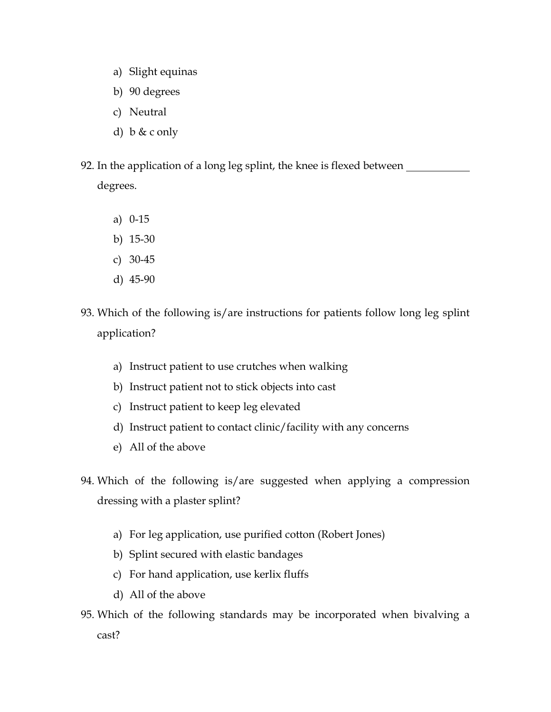- a) Slight equinas
- b) 90 degrees
- c) Neutral
- d) b & c only
- 92. In the application of a long leg splint, the knee is flexed between \_\_\_\_\_\_\_\_ degrees.
	- a) 0-15
	- b) 15-30
	- c) 30-45
	- d) 45-90
- 93. Which of the following is/are instructions for patients follow long leg splint application?
	- a) Instruct patient to use crutches when walking
	- b) Instruct patient not to stick objects into cast
	- c) Instruct patient to keep leg elevated
	- d) Instruct patient to contact clinic/facility with any concerns
	- e) All of the above
- 94. Which of the following is/are suggested when applying a compression dressing with a plaster splint?
	- a) For leg application, use purified cotton (Robert Jones)
	- b) Splint secured with elastic bandages
	- c) For hand application, use kerlix fluffs
	- d) All of the above
- 95. Which of the following standards may be incorporated when bivalving a cast?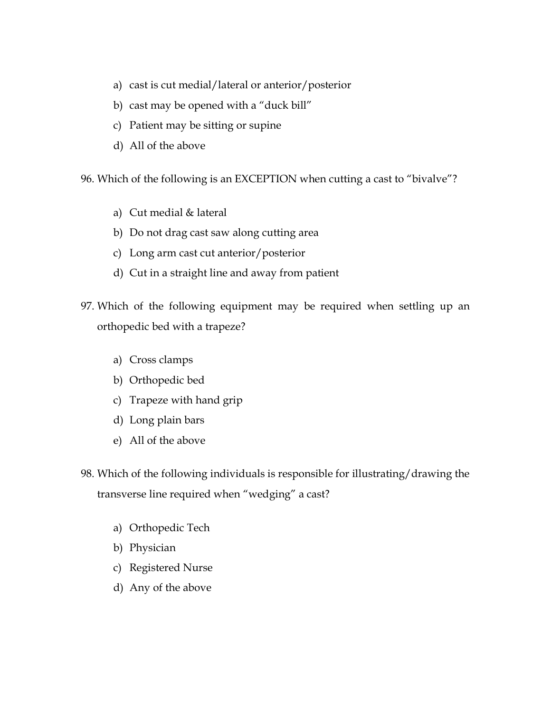- a) cast is cut medial/lateral or anterior/posterior
- b) cast may be opened with a "duck bill"
- c) Patient may be sitting or supine
- d) All of the above

96. Which of the following is an EXCEPTION when cutting a cast to "bivalve"?

- a) Cut medial & lateral
- b) Do not drag cast saw along cutting area
- c) Long arm cast cut anterior/posterior
- d) Cut in a straight line and away from patient
- 97. Which of the following equipment may be required when settling up an orthopedic bed with a trapeze?
	- a) Cross clamps
	- b) Orthopedic bed
	- c) Trapeze with hand grip
	- d) Long plain bars
	- e) All of the above
- 98. Which of the following individuals is responsible for illustrating/drawing the transverse line required when "wedging" a cast?
	- a) Orthopedic Tech
	- b) Physician
	- c) Registered Nurse
	- d) Any of the above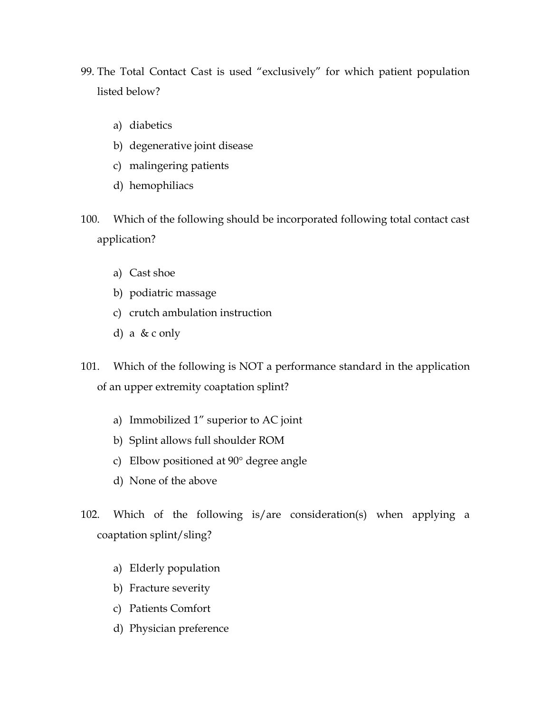- 99. The Total Contact Cast is used "exclusively" for which patient population listed below?
	- a) diabetics
	- b) degenerative joint disease
	- c) malingering patients
	- d) hemophiliacs
- 100. Which of the following should be incorporated following total contact cast application?
	- a) Cast shoe
	- b) podiatric massage
	- c) crutch ambulation instruction
	- d) a & c only
- 101. Which of the following is NOT a performance standard in the application of an upper extremity coaptation splint?
	- a) Immobilized 1" superior to AC joint
	- b) Splint allows full shoulder ROM
	- c) Elbow positioned at 90° degree angle
	- d) None of the above
- 102. Which of the following is/are consideration(s) when applying a coaptation splint/sling?
	- a) Elderly population
	- b) Fracture severity
	- c) Patients Comfort
	- d) Physician preference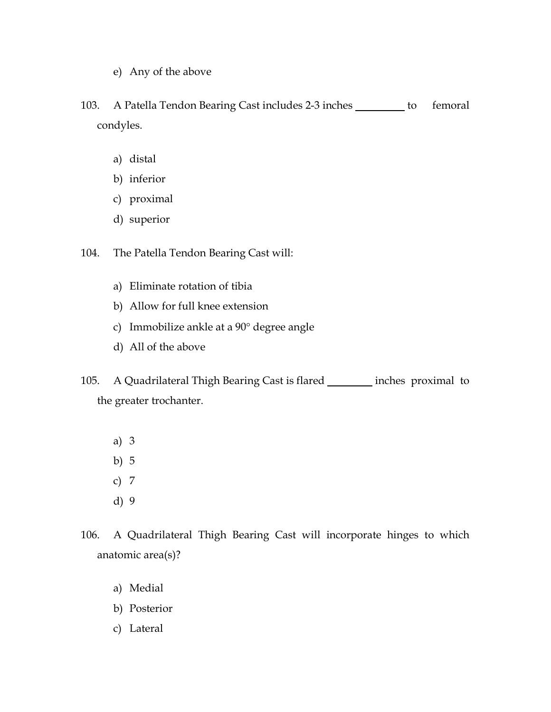- e) Any of the above
- 103. A Patella Tendon Bearing Cast includes 2-3 inches \_\_\_\_\_\_\_\_ to femoral condyles.
	- a) distal
	- b) inferior
	- c) proximal
	- d) superior

104. The Patella Tendon Bearing Cast will:

- a) Eliminate rotation of tibia
- b) Allow for full knee extension
- c) Immobilize ankle at a 90° degree angle
- d) All of the above
- 105. A Quadrilateral Thigh Bearing Cast is flared **inches proximal to** the greater trochanter.
	- a) 3
	- b) 5
	- c) 7
	- d) 9
- 106. A Quadrilateral Thigh Bearing Cast will incorporate hinges to which anatomic area(s)?
	- a) Medial
	- b) Posterior
	- c) Lateral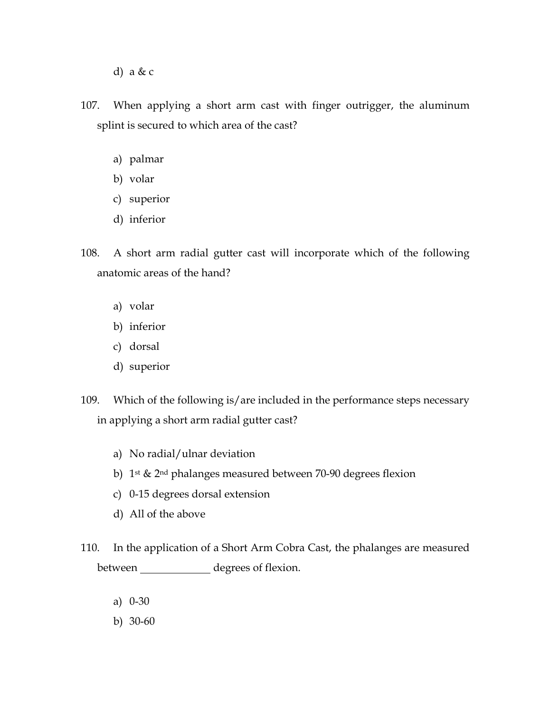- d) a & c
- 107. When applying a short arm cast with finger outrigger, the aluminum splint is secured to which area of the cast?
	- a) palmar
	- b) volar
	- c) superior
	- d) inferior
- 108. A short arm radial gutter cast will incorporate which of the following anatomic areas of the hand?
	- a) volar
	- b) inferior
	- c) dorsal
	- d) superior
- 109. Which of the following is/are included in the performance steps necessary in applying a short arm radial gutter cast?
	- a) No radial/ulnar deviation
	- b) 1st & 2nd phalanges measured between 70-90 degrees flexion
	- c) 0-15 degrees dorsal extension
	- d) All of the above
- 110. In the application of a Short Arm Cobra Cast, the phalanges are measured between degrees of flexion.
	- a) 0-30
	- b) 30-60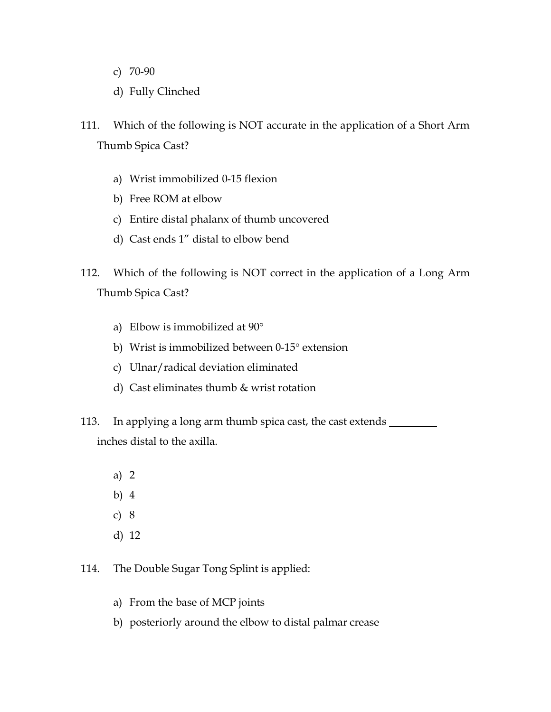- c) 70-90
- d) Fully Clinched
- 111. Which of the following is NOT accurate in the application of a Short Arm Thumb Spica Cast?
	- a) Wrist immobilized 0-15 flexion
	- b) Free ROM at elbow
	- c) Entire distal phalanx of thumb uncovered
	- d) Cast ends 1" distal to elbow bend
- 112. Which of the following is NOT correct in the application of a Long Arm Thumb Spica Cast?
	- a) Elbow is immobilized at 90°
	- b) Wrist is immobilized between 0-15° extension
	- c) Ulnar/radical deviation eliminated
	- d) Cast eliminates thumb & wrist rotation
- 113. In applying a long arm thumb spica cast, the cast extends inches distal to the axilla.
	- a) 2
	- b) 4
	- c) 8
	- d) 12
- 114. The Double Sugar Tong Splint is applied:
	- a) From the base of MCP joints
	- b) posteriorly around the elbow to distal palmar crease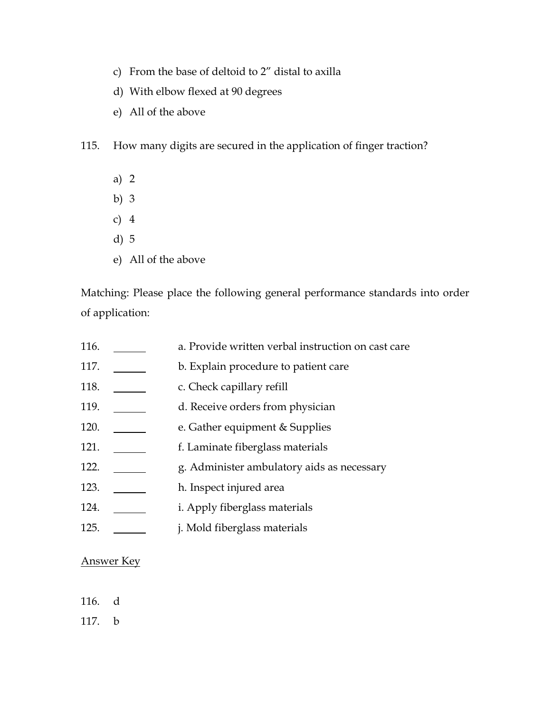- c) From the base of deltoid to 2" distal to axilla
- d) With elbow flexed at 90 degrees
- e) All of the above

115. How many digits are secured in the application of finger traction?

- a) 2
- b) 3
- c) 4
- d) 5
- e) All of the above

Matching: Please place the following general performance standards into order of application:

| 116. | a. Provide written verbal instruction on cast care |
|------|----------------------------------------------------|
| 117. | b. Explain procedure to patient care               |
| 118. | c. Check capillary refill                          |
| 119. | d. Receive orders from physician                   |
| 120. | e. Gather equipment & Supplies                     |
| 121. | f. Laminate fiberglass materials                   |
| 122. | g. Administer ambulatory aids as necessary         |
| 123. | h. Inspect injured area                            |
| 124. | <i>i.</i> Apply fiberglass materials               |
| 125. | j. Mold fiberglass materials                       |

## Answer Key

- 116. d
- 117. b